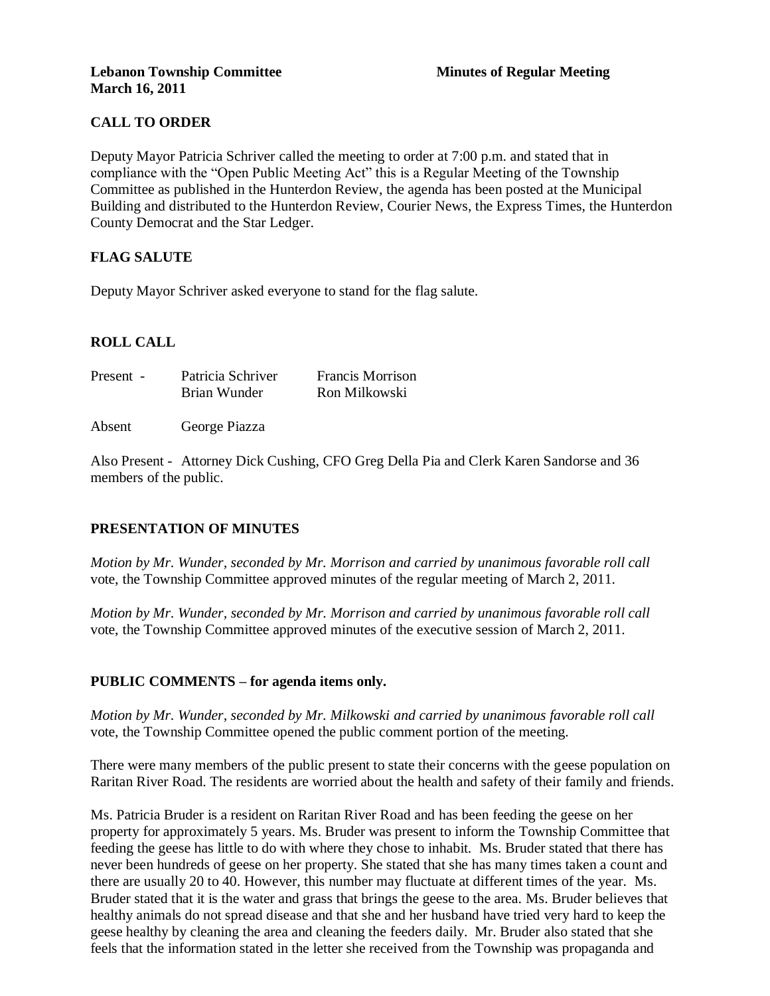# **CALL TO ORDER**

Deputy Mayor Patricia Schriver called the meeting to order at 7:00 p.m. and stated that in compliance with the "Open Public Meeting Act" this is a Regular Meeting of the Township Committee as published in the Hunterdon Review, the agenda has been posted at the Municipal Building and distributed to the Hunterdon Review, Courier News, the Express Times, the Hunterdon County Democrat and the Star Ledger.

# **FLAG SALUTE**

Deputy Mayor Schriver asked everyone to stand for the flag salute.

# **ROLL CALL**

| Patricia Schriver | <b>Francis Morrison</b> |
|-------------------|-------------------------|
| Brian Wunder      | Ron Milkowski           |
|                   |                         |

Absent George Piazza

Also Present - Attorney Dick Cushing, CFO Greg Della Pia and Clerk Karen Sandorse and 36 members of the public.

# **PRESENTATION OF MINUTES**

*Motion by Mr. Wunder, seconded by Mr. Morrison and carried by unanimous favorable roll call*  vote, the Township Committee approved minutes of the regular meeting of March 2, 2011.

*Motion by Mr. Wunder, seconded by Mr. Morrison and carried by unanimous favorable roll call*  vote, the Township Committee approved minutes of the executive session of March 2, 2011.

## **PUBLIC COMMENTS – for agenda items only.**

*Motion by Mr. Wunder, seconded by Mr. Milkowski and carried by unanimous favorable roll call*  vote, the Township Committee opened the public comment portion of the meeting.

There were many members of the public present to state their concerns with the geese population on Raritan River Road. The residents are worried about the health and safety of their family and friends.

Ms. Patricia Bruder is a resident on Raritan River Road and has been feeding the geese on her property for approximately 5 years. Ms. Bruder was present to inform the Township Committee that feeding the geese has little to do with where they chose to inhabit. Ms. Bruder stated that there has never been hundreds of geese on her property. She stated that she has many times taken a count and there are usually 20 to 40. However, this number may fluctuate at different times of the year. Ms. Bruder stated that it is the water and grass that brings the geese to the area. Ms. Bruder believes that healthy animals do not spread disease and that she and her husband have tried very hard to keep the geese healthy by cleaning the area and cleaning the feeders daily. Mr. Bruder also stated that she feels that the information stated in the letter she received from the Township was propaganda and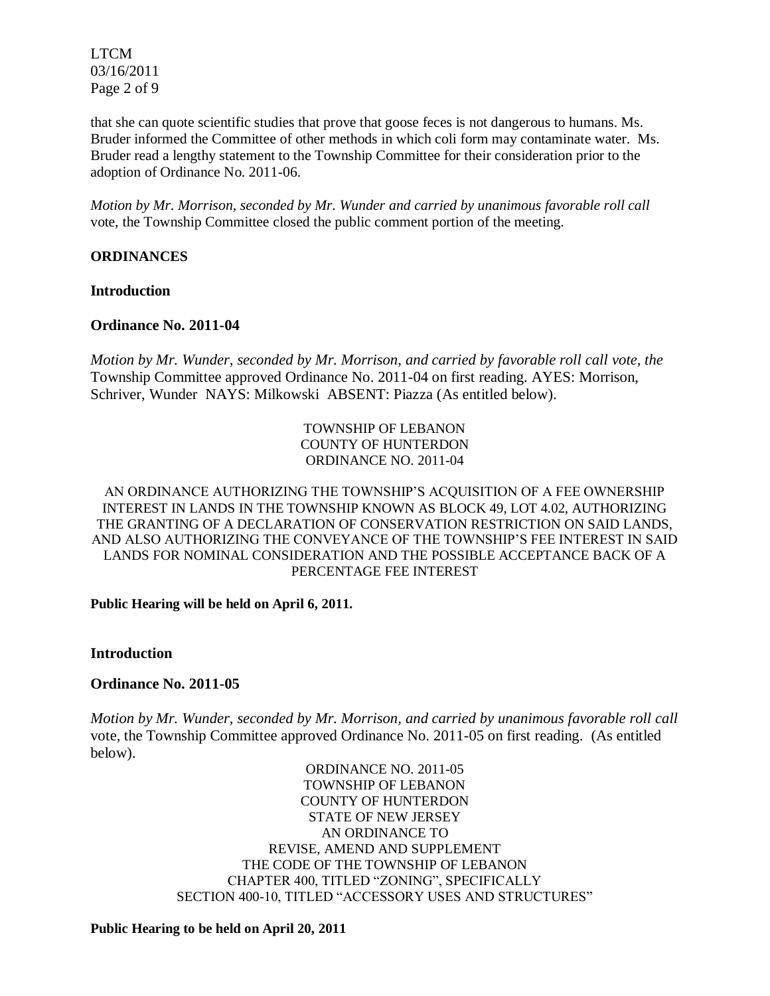LTCM 03/16/2011 Page 2 of 9

that she can quote scientific studies that prove that goose feces is not dangerous to humans. Ms. Bruder informed the Committee of other methods in which coli form may contaminate water. Ms. Bruder read a lengthy statement to the Township Committee for their consideration prior to the adoption of Ordinance No. 2011-06.

*Motion by Mr. Morrison, seconded by Mr. Wunder and carried by unanimous favorable roll call*  vote, the Township Committee closed the public comment portion of the meeting.

### **ORDINANCES**

### **Introduction**

## **Ordinance No. 2011-04**

*Motion by Mr. Wunder, seconded by Mr. Morrison, and carried by favorable roll call vote, the* Township Committee approved Ordinance No. 2011-04 on first reading. AYES: Morrison, Schriver, Wunder NAYS: Milkowski ABSENT: Piazza (As entitled below).

### TOWNSHIP OF LEBANON COUNTY OF HUNTERDON ORDINANCE NO. 2011-04

### AN ORDINANCE AUTHORIZING THE TOWNSHIP'S ACQUISITION OF A FEE OWNERSHIP INTEREST IN LANDS IN THE TOWNSHIP KNOWN AS BLOCK 49, LOT 4.02, AUTHORIZING THE GRANTING OF A DECLARATION OF CONSERVATION RESTRICTION ON SAID LANDS, AND ALSO AUTHORIZING THE CONVEYANCE OF THE TOWNSHIP'S FEE INTEREST IN SAID LANDS FOR NOMINAL CONSIDERATION AND THE POSSIBLE ACCEPTANCE BACK OF A PERCENTAGE FEE INTEREST

**Public Hearing will be held on April 6, 2011.**

**Introduction**

## **Ordinance No. 2011-05**

*Motion by Mr. Wunder, seconded by Mr. Morrison, and carried by unanimous favorable roll call*  vote, the Township Committee approved Ordinance No. 2011-05 on first reading. (As entitled below).

> ORDINANCE NO. 2011-05 TOWNSHIP OF LEBANON COUNTY OF HUNTERDON STATE OF NEW JERSEY AN ORDINANCE TO REVISE, AMEND AND SUPPLEMENT THE CODE OF THE TOWNSHIP OF LEBANON CHAPTER 400, TITLED "ZONING", SPECIFICALLY SECTION 400-10, TITLED "ACCESSORY USES AND STRUCTURES"

#### **Public Hearing to be held on April 20, 2011**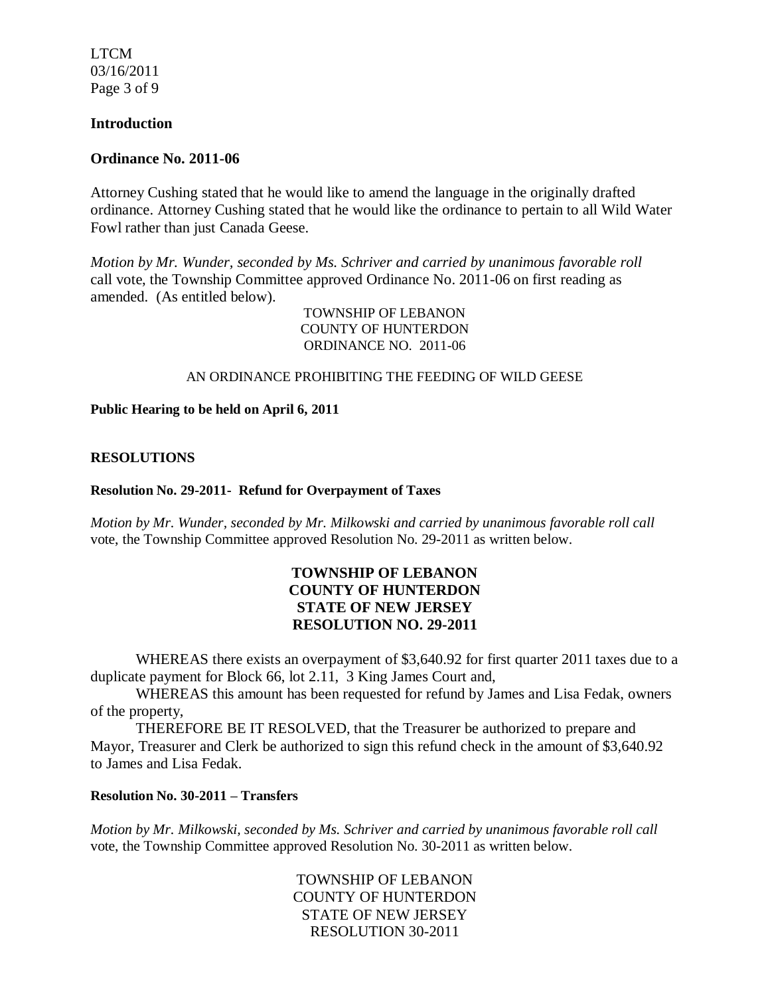LTCM 03/16/2011 Page 3 of 9

### **Introduction**

#### **Ordinance No. 2011-06**

Attorney Cushing stated that he would like to amend the language in the originally drafted ordinance. Attorney Cushing stated that he would like the ordinance to pertain to all Wild Water Fowl rather than just Canada Geese.

*Motion by Mr. Wunder, seconded by Ms. Schriver and carried by unanimous favorable roll* call vote, the Township Committee approved Ordinance No. 2011-06 on first reading as amended. (As entitled below).

> TOWNSHIP OF LEBANON COUNTY OF HUNTERDON ORDINANCE NO. 2011-06

#### AN ORDINANCE PROHIBITING THE FEEDING OF WILD GEESE

**Public Hearing to be held on April 6, 2011**

#### **RESOLUTIONS**

#### **Resolution No. 29-2011- Refund for Overpayment of Taxes**

*Motion by Mr. Wunder, seconded by Mr. Milkowski and carried by unanimous favorable roll call*  vote, the Township Committee approved Resolution No. 29-2011 as written below.

# **TOWNSHIP OF LEBANON COUNTY OF HUNTERDON STATE OF NEW JERSEY RESOLUTION NO. 29-2011**

WHEREAS there exists an overpayment of \$3,640.92 for first quarter 2011 taxes due to a duplicate payment for Block 66, lot 2.11, 3 King James Court and,

WHEREAS this amount has been requested for refund by James and Lisa Fedak, owners of the property,

THEREFORE BE IT RESOLVED, that the Treasurer be authorized to prepare and Mayor, Treasurer and Clerk be authorized to sign this refund check in the amount of \$3,640.92 to James and Lisa Fedak.

# **Resolution No. 30-2011 – Transfers**

*Motion by Mr. Milkowski, seconded by Ms. Schriver and carried by unanimous favorable roll call*  vote, the Township Committee approved Resolution No. 30-2011 as written below.

> TOWNSHIP OF LEBANON COUNTY OF HUNTERDON STATE OF NEW JERSEY RESOLUTION 30-2011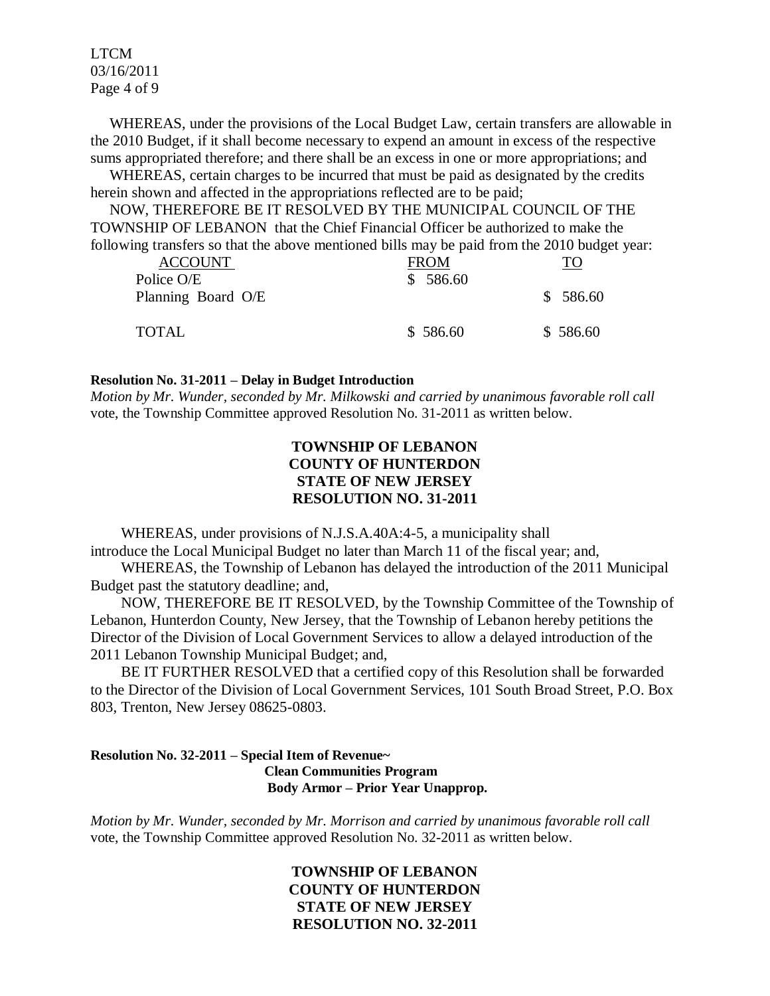LTCM 03/16/2011 Page 4 of 9

 WHEREAS, under the provisions of the Local Budget Law, certain transfers are allowable in the 2010 Budget, if it shall become necessary to expend an amount in excess of the respective sums appropriated therefore; and there shall be an excess in one or more appropriations; and

 WHEREAS, certain charges to be incurred that must be paid as designated by the credits herein shown and affected in the appropriations reflected are to be paid;

 NOW, THEREFORE BE IT RESOLVED BY THE MUNICIPAL COUNCIL OF THE TOWNSHIP OF LEBANON that the Chief Financial Officer be authorized to make the following transfers so that the above mentioned bills may be paid from the 2010 budget year:

| <b>ACCOUNT</b><br>Police O/E | <b>FROM</b><br>\$586.60 | TO       |
|------------------------------|-------------------------|----------|
| Planning Board O/E           |                         | \$586.60 |
| TOTAL                        | \$586.60                | \$586.60 |

#### **Resolution No. 31-2011 – Delay in Budget Introduction**

*Motion by Mr. Wunder, seconded by Mr. Milkowski and carried by unanimous favorable roll call*  vote, the Township Committee approved Resolution No. 31-2011 as written below.

# **TOWNSHIP OF LEBANON COUNTY OF HUNTERDON STATE OF NEW JERSEY RESOLUTION NO. 31-2011**

 WHEREAS, under provisions of N.J.S.A.40A:4-5, a municipality shall introduce the Local Municipal Budget no later than March 11 of the fiscal year; and,

 WHEREAS, the Township of Lebanon has delayed the introduction of the 2011 Municipal Budget past the statutory deadline; and,

 NOW, THEREFORE BE IT RESOLVED, by the Township Committee of the Township of Lebanon, Hunterdon County, New Jersey, that the Township of Lebanon hereby petitions the Director of the Division of Local Government Services to allow a delayed introduction of the 2011 Lebanon Township Municipal Budget; and,

 BE IT FURTHER RESOLVED that a certified copy of this Resolution shall be forwarded to the Director of the Division of Local Government Services, 101 South Broad Street, P.O. Box 803, Trenton, New Jersey 08625-0803.

### **Resolution No. 32-2011 – Special Item of Revenue~ Clean Communities Program Body Armor – Prior Year Unapprop.**

*Motion by Mr. Wunder, seconded by Mr. Morrison and carried by unanimous favorable roll call* vote, the Township Committee approved Resolution No. 32-2011 as written below.

> **TOWNSHIP OF LEBANON COUNTY OF HUNTERDON STATE OF NEW JERSEY RESOLUTION NO. 32-2011**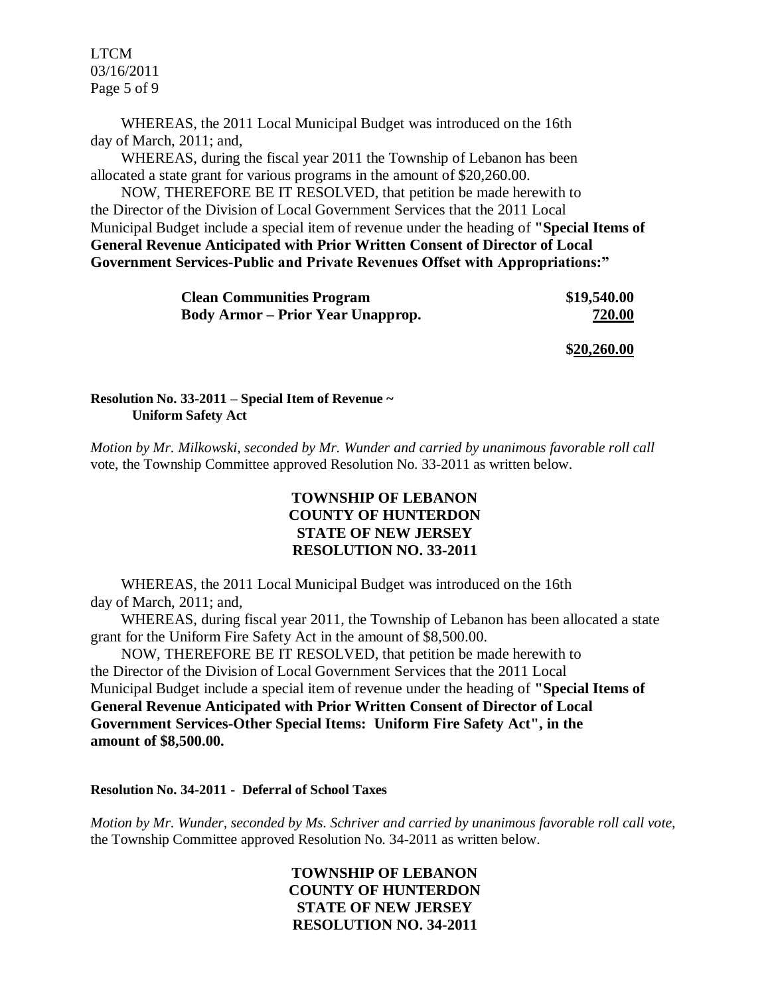LTCM 03/16/2011 Page 5 of 9

 WHEREAS, the 2011 Local Municipal Budget was introduced on the 16th day of March, 2011; and,

 WHEREAS, during the fiscal year 2011 the Township of Lebanon has been allocated a state grant for various programs in the amount of \$20,260.00.

 NOW, THEREFORE BE IT RESOLVED, that petition be made herewith to the Director of the Division of Local Government Services that the 2011 Local Municipal Budget include a special item of revenue under the heading of **"Special Items of General Revenue Anticipated with Prior Written Consent of Director of Local Government Services-Public and Private Revenues Offset with Appropriations:"**

| <b>Clean Communities Program</b>         | \$19,540.00 |
|------------------------------------------|-------------|
| <b>Body Armor</b> – Prior Year Unapprop. | 720.00      |
|                                          |             |

**\$20,260.00**

**Resolution No. 33-2011 – Special Item of Revenue ~ Uniform Safety Act**

*Motion by Mr. Milkowski, seconded by Mr. Wunder and carried by unanimous favorable roll call*  vote, the Township Committee approved Resolution No. 33-2011 as written below.

# **TOWNSHIP OF LEBANON COUNTY OF HUNTERDON STATE OF NEW JERSEY RESOLUTION NO. 33-2011**

 WHEREAS, the 2011 Local Municipal Budget was introduced on the 16th day of March, 2011; and,

 WHEREAS, during fiscal year 2011, the Township of Lebanon has been allocated a state grant for the Uniform Fire Safety Act in the amount of \$8,500.00.

 NOW, THEREFORE BE IT RESOLVED, that petition be made herewith to the Director of the Division of Local Government Services that the 2011 Local Municipal Budget include a special item of revenue under the heading of **"Special Items of General Revenue Anticipated with Prior Written Consent of Director of Local Government Services-Other Special Items: Uniform Fire Safety Act", in the amount of \$8,500.00.**

**Resolution No. 34-2011 - Deferral of School Taxes**

*Motion by Mr. Wunder, seconded by Ms. Schriver and carried by unanimous favorable roll call vote,* the Township Committee approved Resolution No. 34-2011 as written below.

> **TOWNSHIP OF LEBANON COUNTY OF HUNTERDON STATE OF NEW JERSEY RESOLUTION NO. 34-2011**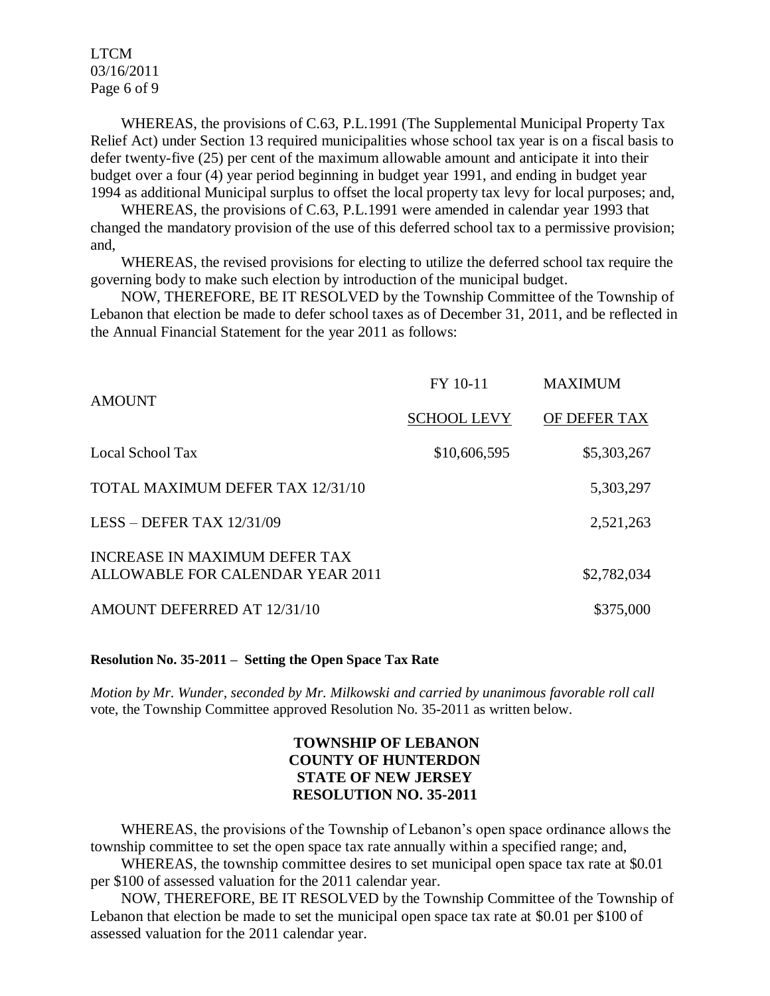LTCM 03/16/2011 Page 6 of 9

WHEREAS, the provisions of C.63, P.L.1991 (The Supplemental Municipal Property Tax Relief Act) under Section 13 required municipalities whose school tax year is on a fiscal basis to defer twenty-five (25) per cent of the maximum allowable amount and anticipate it into their budget over a four (4) year period beginning in budget year 1991, and ending in budget year 1994 as additional Municipal surplus to offset the local property tax levy for local purposes; and,

 WHEREAS, the provisions of C.63, P.L.1991 were amended in calendar year 1993 that changed the mandatory provision of the use of this deferred school tax to a permissive provision; and,

 WHEREAS, the revised provisions for electing to utilize the deferred school tax require the governing body to make such election by introduction of the municipal budget.

 NOW, THEREFORE, BE IT RESOLVED by the Township Committee of the Township of Lebanon that election be made to defer school taxes as of December 31, 2011, and be reflected in the Annual Financial Statement for the year 2011 as follows:

| <b>AMOUNT</b>                                                     | FY 10-11           | <b>MAXIMUM</b> |
|-------------------------------------------------------------------|--------------------|----------------|
|                                                                   | <b>SCHOOL LEVY</b> | OF DEFER TAX   |
| Local School Tax                                                  | \$10,606,595       | \$5,303,267    |
| TOTAL MAXIMUM DEFER TAX 12/31/10                                  |                    | 5,303,297      |
| LESS – DEFER TAX $12/31/09$                                       |                    | 2,521,263      |
| INCREASE IN MAXIMUM DEFER TAX<br>ALLOWABLE FOR CALENDAR YEAR 2011 |                    | \$2,782,034    |
| AMOUNT DEFERRED AT 12/31/10                                       |                    | \$375,000      |

**Resolution No. 35-2011 – Setting the Open Space Tax Rate**

*Motion by Mr. Wunder, seconded by Mr. Milkowski and carried by unanimous favorable roll call*  vote, the Township Committee approved Resolution No. 35-2011 as written below.

# **TOWNSHIP OF LEBANON COUNTY OF HUNTERDON STATE OF NEW JERSEY RESOLUTION NO. 35-2011**

 WHEREAS, the provisions of the Township of Lebanon's open space ordinance allows the township committee to set the open space tax rate annually within a specified range; and,

 WHEREAS, the township committee desires to set municipal open space tax rate at \$0.01 per \$100 of assessed valuation for the 2011 calendar year.

 NOW, THEREFORE, BE IT RESOLVED by the Township Committee of the Township of Lebanon that election be made to set the municipal open space tax rate at \$0.01 per \$100 of assessed valuation for the 2011 calendar year.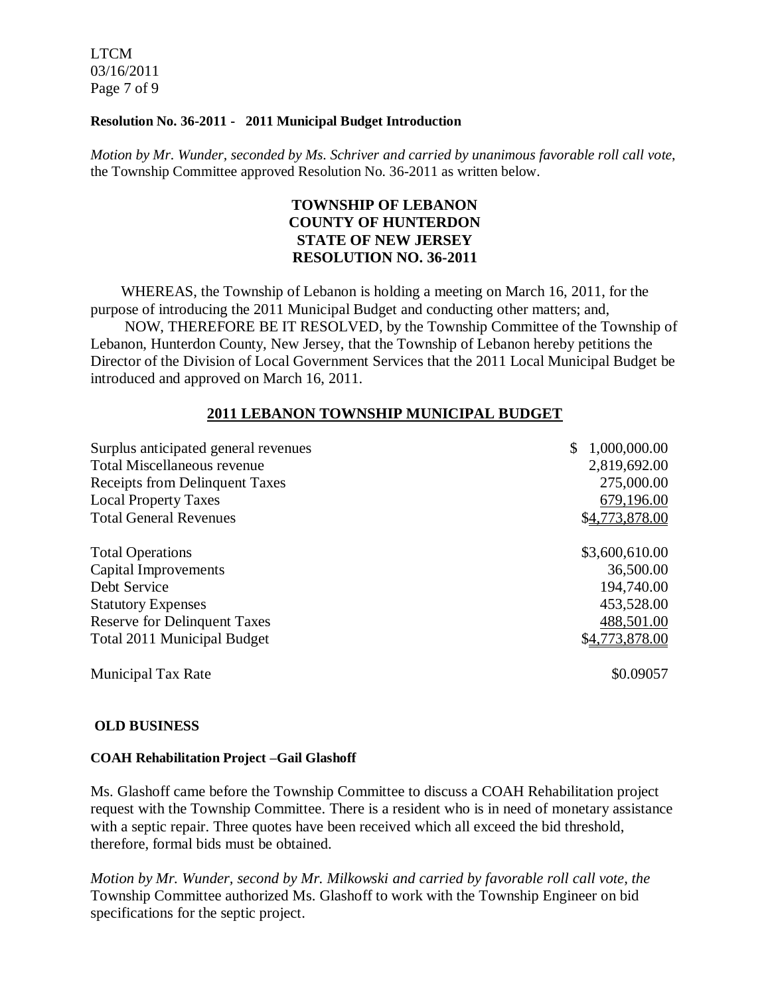LTCM 03/16/2011 Page 7 of 9

### **Resolution No. 36-2011 - 2011 Municipal Budget Introduction**

*Motion by Mr. Wunder, seconded by Ms. Schriver and carried by unanimous favorable roll call vote*, the Township Committee approved Resolution No. 36-2011 as written below.

# **TOWNSHIP OF LEBANON COUNTY OF HUNTERDON STATE OF NEW JERSEY RESOLUTION NO. 36-2011**

 WHEREAS, the Township of Lebanon is holding a meeting on March 16, 2011, for the purpose of introducing the 2011 Municipal Budget and conducting other matters; and, NOW, THEREFORE BE IT RESOLVED, by the Township Committee of the Township of Lebanon, Hunterdon County, New Jersey, that the Township of Lebanon hereby petitions the Director of the Division of Local Government Services that the 2011 Local Municipal Budget be introduced and approved on March 16, 2011.

## **2011 LEBANON TOWNSHIP MUNICIPAL BUDGET**

| Surplus anticipated general revenues  | 1,000,000.00<br>\$ |
|---------------------------------------|--------------------|
| <b>Total Miscellaneous revenue</b>    | 2,819,692.00       |
| <b>Receipts from Delinquent Taxes</b> | 275,000.00         |
| <b>Local Property Taxes</b>           | 679,196.00         |
| <b>Total General Revenues</b>         | \$4,773,878.00     |
| <b>Total Operations</b>               | \$3,600,610.00     |
| <b>Capital Improvements</b>           | 36,500.00          |
| Debt Service                          | 194,740.00         |
| <b>Statutory Expenses</b>             | 453,528.00         |
| <b>Reserve for Delinquent Taxes</b>   | 488,501.00         |
| <b>Total 2011 Municipal Budget</b>    | \$4,773,878.00     |
| <b>Municipal Tax Rate</b>             | \$0.09057          |

#### **OLD BUSINESS**

#### **COAH Rehabilitation Project –Gail Glashoff**

Ms. Glashoff came before the Township Committee to discuss a COAH Rehabilitation project request with the Township Committee. There is a resident who is in need of monetary assistance with a septic repair. Three quotes have been received which all exceed the bid threshold, therefore, formal bids must be obtained.

*Motion by Mr. Wunder, second by Mr. Milkowski and carried by favorable roll call vote, the*  Township Committee authorized Ms. Glashoff to work with the Township Engineer on bid specifications for the septic project.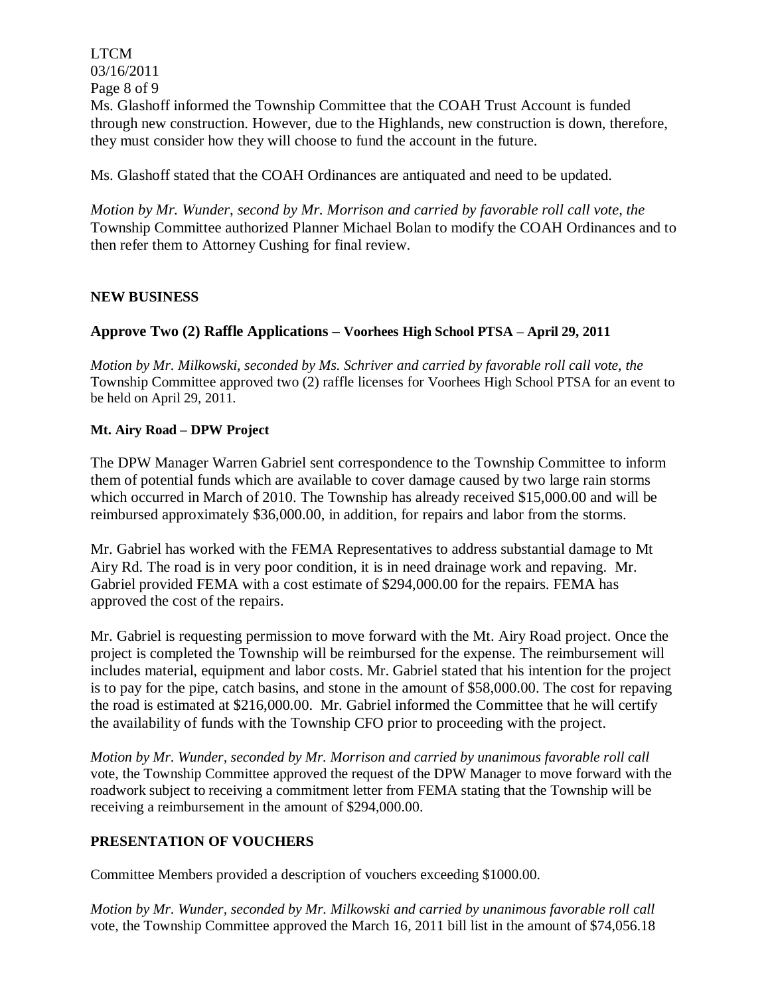LTCM 03/16/2011 Page 8 of 9 Ms. Glashoff informed the Township Committee that the COAH Trust Account is funded through new construction. However, due to the Highlands, new construction is down, therefore, they must consider how they will choose to fund the account in the future.

Ms. Glashoff stated that the COAH Ordinances are antiquated and need to be updated.

*Motion by Mr. Wunder, second by Mr. Morrison and carried by favorable roll call vote, the*  Township Committee authorized Planner Michael Bolan to modify the COAH Ordinances and to then refer them to Attorney Cushing for final review.

## **NEW BUSINESS**

## **Approve Two (2) Raffle Applications – Voorhees High School PTSA – April 29, 2011**

*Motion by Mr. Milkowski, seconded by Ms. Schriver and carried by favorable roll call vote, the* Township Committee approved two (2) raffle licenses for Voorhees High School PTSA for an event to be held on April 29, 2011.

### **Mt. Airy Road – DPW Project**

The DPW Manager Warren Gabriel sent correspondence to the Township Committee to inform them of potential funds which are available to cover damage caused by two large rain storms which occurred in March of 2010. The Township has already received \$15,000.00 and will be reimbursed approximately \$36,000.00, in addition, for repairs and labor from the storms.

Mr. Gabriel has worked with the FEMA Representatives to address substantial damage to Mt Airy Rd. The road is in very poor condition, it is in need drainage work and repaving. Mr. Gabriel provided FEMA with a cost estimate of \$294,000.00 for the repairs. FEMA has approved the cost of the repairs.

Mr. Gabriel is requesting permission to move forward with the Mt. Airy Road project. Once the project is completed the Township will be reimbursed for the expense. The reimbursement will includes material, equipment and labor costs. Mr. Gabriel stated that his intention for the project is to pay for the pipe, catch basins, and stone in the amount of \$58,000.00. The cost for repaving the road is estimated at \$216,000.00. Mr. Gabriel informed the Committee that he will certify the availability of funds with the Township CFO prior to proceeding with the project.

*Motion by Mr. Wunder, seconded by Mr. Morrison and carried by unanimous favorable roll call*  vote, the Township Committee approved the request of the DPW Manager to move forward with the roadwork subject to receiving a commitment letter from FEMA stating that the Township will be receiving a reimbursement in the amount of \$294,000.00.

## **PRESENTATION OF VOUCHERS**

Committee Members provided a description of vouchers exceeding \$1000.00.

*Motion by Mr. Wunder, seconded by Mr. Milkowski and carried by unanimous favorable roll call*  vote, the Township Committee approved the March 16, 2011 bill list in the amount of \$74,056.18